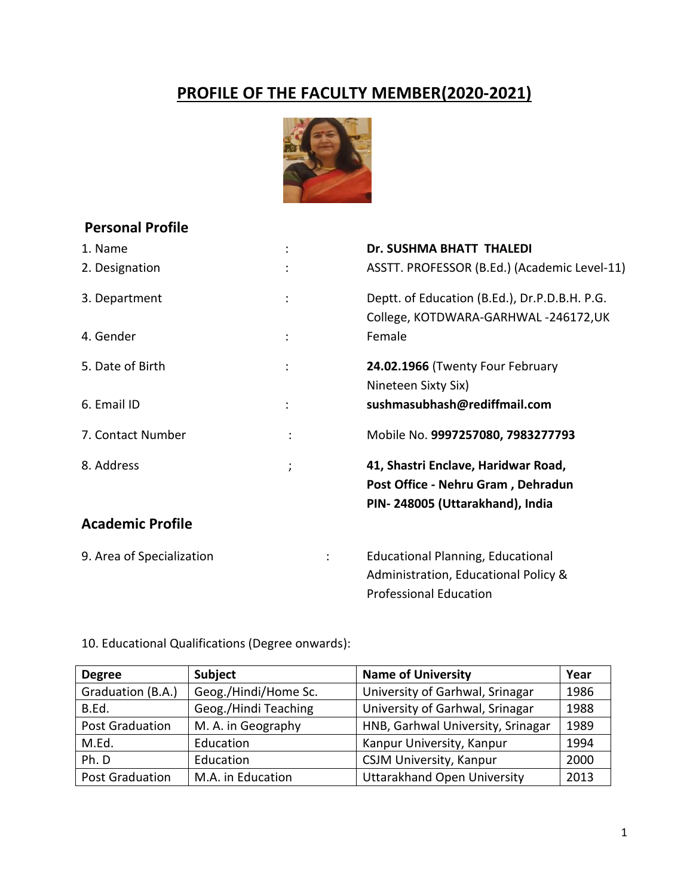# **PROFILE OF THE FACULTY MEMBER(2020-2021)**



# **Personal Profile**

| 1. Name                   |                | Dr. SUSHMA BHATT THALEDI                      |
|---------------------------|----------------|-----------------------------------------------|
| 2. Designation            |                | ASSTT. PROFESSOR (B.Ed.) (Academic Level-11)  |
| 3. Department             | $\ddot{\cdot}$ | Deptt. of Education (B.Ed.), Dr.P.D.B.H. P.G. |
|                           |                | College, KOTDWARA-GARHWAL-246172,UK           |
| 4. Gender                 | $\ddot{\cdot}$ | Female                                        |
| 5. Date of Birth          | $\ddot{\cdot}$ | 24.02.1966 (Twenty Four February              |
|                           |                | Nineteen Sixty Six)                           |
| 6. Email ID               |                | sushmasubhash@rediffmail.com                  |
| 7. Contact Number         |                | Mobile No. 9997257080, 7983277793             |
| 8. Address                | $\lambda$      | 41, Shastri Enclave, Haridwar Road,           |
|                           |                | Post Office - Nehru Gram, Dehradun            |
|                           |                | PIN-248005 (Uttarakhand), India               |
| <b>Academic Profile</b>   |                |                                               |
| 9. Area of Specialization |                | <b>Educational Planning, Educational</b>      |
|                           |                | Administration, Educational Policy &          |
|                           |                | <b>Professional Education</b>                 |

10. Educational Qualifications (Degree onwards):

| <b>Degree</b>          | <b>Subject</b>       | <b>Name of University</b>          | Year |
|------------------------|----------------------|------------------------------------|------|
| Graduation (B.A.)      | Geog./Hindi/Home Sc. | University of Garhwal, Srinagar    | 1986 |
| B.Ed.                  | Geog./Hindi Teaching | University of Garhwal, Srinagar    | 1988 |
| <b>Post Graduation</b> | M. A. in Geography   | HNB, Garhwal University, Srinagar  | 1989 |
| M.Ed.                  | Education            | Kanpur University, Kanpur          | 1994 |
| Ph. D<br>Education     |                      | <b>CSJM University, Kanpur</b>     | 2000 |
| <b>Post Graduation</b> | M.A. in Education    | <b>Uttarakhand Open University</b> | 2013 |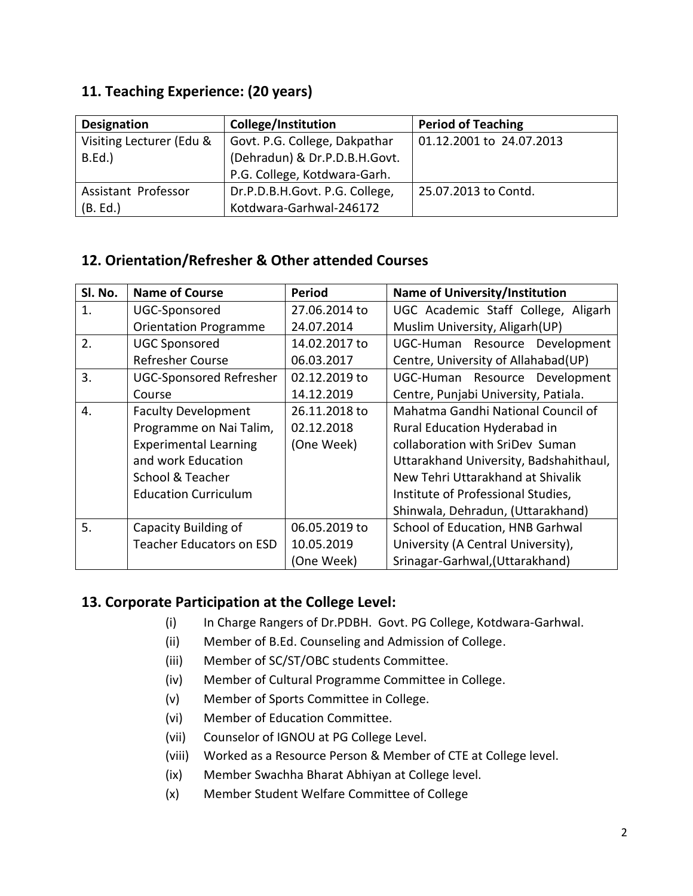# **11. Teaching Experience: (20 years)**

| <b>Designation</b>       | College/Institution            | <b>Period of Teaching</b> |
|--------------------------|--------------------------------|---------------------------|
| Visiting Lecturer (Edu & | Govt. P.G. College, Dakpathar  | 01.12.2001 to 24.07.2013  |
| B.Ed.                    | (Dehradun) & Dr.P.D.B.H.Govt.  |                           |
|                          | P.G. College, Kotdwara-Garh.   |                           |
| Assistant Professor      | Dr.P.D.B.H.Govt. P.G. College, | 25.07.2013 to Contd.      |
| (B. Ed.)                 | Kotdwara-Garhwal-246172        |                           |

# **12. Orientation/Refresher & Other attended Courses**

| SI. No. | <b>Name of Course</b>           | <b>Period</b> | <b>Name of University/Institution</b>  |
|---------|---------------------------------|---------------|----------------------------------------|
| 1.      | UGC-Sponsored                   | 27.06.2014 to | UGC Academic Staff College, Aligarh    |
|         | <b>Orientation Programme</b>    | 24.07.2014    | Muslim University, Aligarh (UP)        |
| 2.      | <b>UGC Sponsored</b>            | 14.02.2017 to | UGC-Human Resource Development         |
|         | <b>Refresher Course</b>         | 06.03.2017    | Centre, University of Allahabad(UP)    |
| 3.      | <b>UGC-Sponsored Refresher</b>  | 02.12.2019 to | UGC-Human Resource Development         |
|         | Course                          | 14.12.2019    | Centre, Punjabi University, Patiala.   |
| 4.      | <b>Faculty Development</b>      | 26.11.2018 to | Mahatma Gandhi National Council of     |
|         | Programme on Nai Talim,         | 02.12.2018    | Rural Education Hyderabad in           |
|         | <b>Experimental Learning</b>    | (One Week)    | collaboration with SriDev Suman        |
|         | and work Education              |               | Uttarakhand University, Badshahithaul, |
|         | School & Teacher                |               | New Tehri Uttarakhand at Shivalik      |
|         | <b>Education Curriculum</b>     |               | Institute of Professional Studies,     |
|         |                                 |               | Shinwala, Dehradun, (Uttarakhand)      |
| 5.      | Capacity Building of            | 06.05.2019 to | School of Education, HNB Garhwal       |
|         | <b>Teacher Educators on ESD</b> | 10.05.2019    | University (A Central University),     |
|         |                                 | (One Week)    | Srinagar-Garhwal, (Uttarakhand)        |

# **13. Corporate Participation at the College Level:**

- (i) In Charge Rangers of Dr.PDBH. Govt. PG College, Kotdwara-Garhwal.
- (ii) Member of B.Ed. Counseling and Admission of College.
- (iii) Member of SC/ST/OBC students Committee.
- (iv) Member of Cultural Programme Committee in College.
- (v) Member of Sports Committee in College.
- (vi) Member of Education Committee.
- (vii) Counselor of IGNOU at PG College Level.
- (viii) Worked as a Resource Person & Member of CTE at College level.
- (ix) Member Swachha Bharat Abhiyan at College level.
- (x) Member Student Welfare Committee of College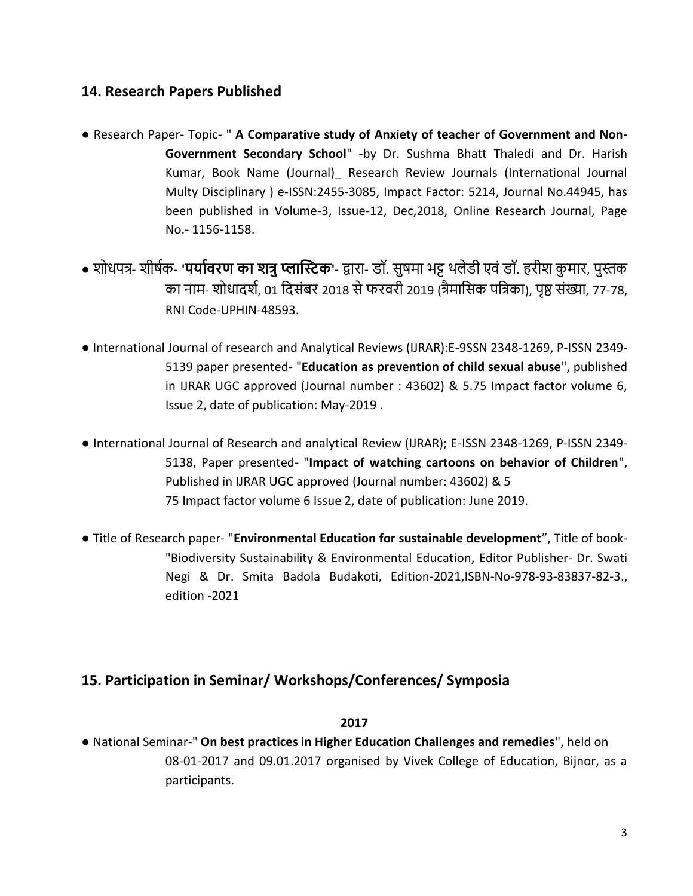### **14. Research Papers Published**

- Research Paper- Topic- " **A Comparative study of Anxiety of teacher of Government and Non-Government Secondary School**" -by Dr. Sushma Bhatt Thaledi and Dr. Harish Kumar, Book Name (Journal)\_ Research Review Journals (International Journal Multy Disciplinary ) e-ISSN:2455-3085, Impact Factor: 5214, Journal No.44945, has been published in Volume-3, Issue-12, Dec,2018, Online Research Journal, Page No.- 1156-1158.
- शोधपत्र- शीर्षक- **'पर्यावरण कय शत्रुप्लयस्टिक'** द्वारा- डॉ. सुर्मा भट्ट थलेडी एवं डॉ. हरीश कु मार, पुस्तक का नाम- शोधादर्श, 01 दिसंबर 2018 से फरवरी 2019 (त्रैमासिक पत्रिका), पृष्ठ संख्या, 77-78, RNI Code-UPHIN-48593.
- International Journal of research and Analytical Reviews (IJRAR):E-9SSN 2348-1269, P-ISSN 2349- 5139 paper presented- "**Education as prevention of child sexual abuse**", published in IJRAR UGC approved (Journal number : 43602) & 5.75 Impact factor volume 6, Issue 2, date of publication: May-2019 .
- International Journal of Research and analytical Review (IJRAR); E-ISSN 2348-1269, P-ISSN 2349- 5138, Paper presented- "**Impact of watching cartoons on behavior of Children**", Published in IJRAR UGC approved (Journal number: 43602) & 5 75 Impact factor volume 6 Issue 2, date of publication: June 2019.
- Title of Research paper- "**Environmental Education for sustainable development**", Title of book- "Biodiversity Sustainability & Environmental Education, Editor Publisher- Dr. Swati Negi & Dr. Smita Badola Budakoti, Edition-2021,ISBN-No-978-93-83837-82-3., edition -2021

# **15. Participation in Seminar/ Workshops/Conferences/ Symposia**

#### **2017**

● National Seminar-" **On best practices in Higher Education Challenges and remedies**", held on 08-01-2017 and 09.01.2017 organised by Vivek College of Education, Bijnor, as a participants.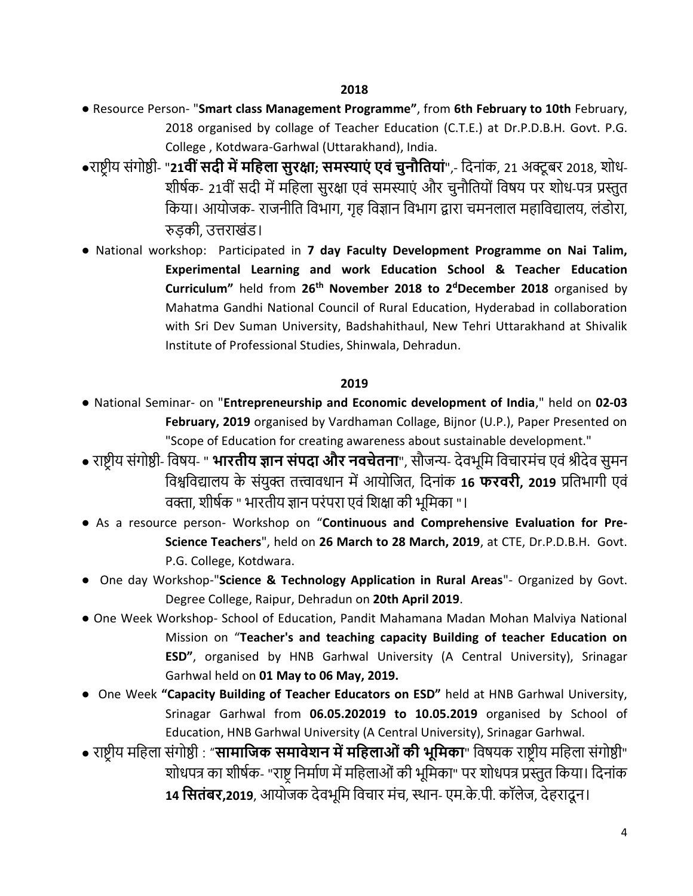- Resource Person- "**Smart class Management Programme"**, from **6th February to 10th** February, 2018 organised by collage of Teacher Education (C.T.E.) at Dr.P.D.B.H. Govt. P.G. College , Kotdwara-Garhwal (Uttarakhand), India.
- **•**राष्ट्रीय संगोष्ठी- "21**वीं सदी में महिला सुरक्षा; समस्याएं एवं चुनौतियां",- दिनांक, 21 अक्टूबर 2018, शोध-**शीर्षक- 21वीं सदी में महिला सुरक्षा एवं समस्याएं और चुनौतियों विषय पर शोध-पत्र प्रस्तुत दकया। आयोजक- राजनीदि दवभाग, गृह दवज्ञान दवभाग द्वारा चमनलाल महादवद्यालय, लंडोरा, रुड़की, उत्तराखंड।
- National workshop: Participated in **7 day Faculty Development Programme on Nai Talim, Experimental Learning and work Education School & Teacher Education Curriculum"** held from **26th November 2018 to 2<sup>d</sup>December 2018** organised by Mahatma Gandhi National Council of Rural Education, Hyderabad in collaboration with Sri Dev Suman University, Badshahithaul, New Tehri Uttarakhand at Shivalik Institute of Professional Studies, Shinwala, Dehradun.

#### **2019**

- National Seminar- on "**Entrepreneurship and Economic development of India**," held on **02-03 February, 2019** organised by Vardhaman Collage, Bijnor (U.P.), Paper Presented on "Scope of Education for creating awareness about sustainable development."
- राष्ट्रीय संगोष्ठी- दवर्य- " **भयरि र् ज्ञयन सींपदय और नवचेिनय**", सौजन्य- देवभूदम दवचारमंच एवंश्रीदेव सुमन दवश्वदवद्यालय के संयुक्त ित्त्वावधान मेंआयोदजि, ददनांक **16 फरवर , 2019** प्रदिभागी एवं वक्ता, शीर्षक " भारतीय ज्ञान परंपरा एवं शिक्षा की भूमिका "।
- As a resource person- Workshop on "**Continuous and Comprehensive Evaluation for Pre-Science Teachers**", held on **26 March to 28 March, 2019**, at CTE, Dr.P.D.B.H. Govt. P.G. College, Kotdwara.
- One day Workshop-"**Science & Technology Application in Rural Areas**"- Organized by Govt. Degree College, Raipur, Dehradun on **20th April 2019**.
- One Week Workshop- School of Education, Pandit Mahamana Madan Mohan Malviya National Mission on "**Teacher's and teaching capacity Building of teacher Education on ESD"**, organised by HNB Garhwal University (A Central University), Srinagar Garhwal held on **01 May to 06 May, 2019.**
- One Week **"Capacity Building of Teacher Educators on ESD"** held at HNB Garhwal University, Srinagar Garhwal from **06.05.202019 to 10.05.2019** organised by School of Education, HNB Garhwal University (A Central University), Srinagar Garhwal.
- राष्ट्रीय मदहला संगोष्ठी : "**सयमयहिक समयवेशन मेंमहिलयओींक भूहमकय**" दवर्यक राष्ट्रीय मदहला संगोष्ठी" शोधपत्र का शीर्षक- "राष्ट्र निर्माण में महिलाओं की भूमिका" पर शोधपत्र प्रस्तुत किया। दिनांक 14 **सितंबर,2019**, आयोजक देवभूमि विचार मंच, स्थान- एम.के.पी. कॉलेज, देहरादून।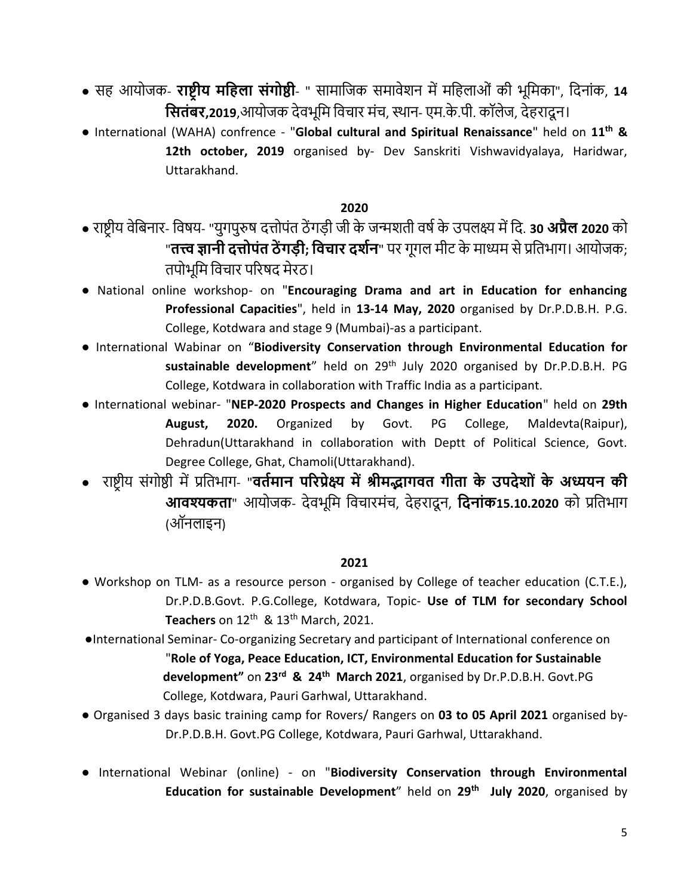- सह आयोजक- **रयष्ट्र र् महिलय सींगोष्ठ**  " सामादजक समावेशन मेंमदहलाओं की भूदमका", ददनांक, **14 सितंबर,2019**,आयोजक देवभूमि विचार मंच, स्थान- एम.के.पी. कॉलेज, देहरादून।
- International (WAHA) confrence "**Global cultural and Spiritual Renaissance**" held on **11th & 12th october, 2019** organised by- Dev Sanskriti Vishwavidyalaya, Haridwar, Uttarakhand.

#### **2020**

- राष्ट्रीय वेदबनार- दवर्य- "युगपुरुर् दत्तोपंि ठें गड़ी जी के जन्मशिी वर्षके उपलक्ष्य मेंदद. **30 अप्रैल 2020** को "**तत्त्व ज्ञानी दत्तोपंत ठेंगडी; विचार दर्शन**" पर गूगल मीट के माध्यम से प्रतिभाग। आयोजक; तपोभूमि विचार परिषद मेरठ।
- National online workshop- on "**Encouraging Drama and art in Education for enhancing Professional Capacities**", held in **13-14 May, 2020** organised by Dr.P.D.B.H. P.G. College, Kotdwara and stage 9 (Mumbai)-as a participant.
- International Wabinar on "**Biodiversity Conservation through Environmental Education for**  sustainable development" held on 29<sup>th</sup> July 2020 organised by Dr.P.D.B.H. PG College, Kotdwara in collaboration with Traffic India as a participant.
- International webinar- "**NEP-2020 Prospects and Changes in Higher Education**" held on **29th August, 2020.** Organized by Govt. PG College, Maldevta(Raipur), Dehradun(Uttarakhand in collaboration with Deptt of Political Science, Govt. Degree College, Ghat, Chamoli(Uttarakhand).
- राष्ट्रीय संगोष्ठी मेंप्रदिभाग- "**विामयन पररप्रेक्ष्य मेंश्र मद्भयगवि ग िय के उपदेशोीं के अध्यर्न क आवश्यकता**" आयोजक- देवभूमि विचारमंच, देहरादून, **दिनांक15.10.2020** को प्रतिभाग (ऑनलाइन)

#### **2021**

- Workshop on TLM- as a resource person organised by College of teacher education (C.T.E.), Dr.P.D.B.Govt. P.G.College, Kotdwara, Topic- **Use of TLM for secondary School**  Teachers on 12<sup>th</sup> & 13<sup>th</sup> March, 2021.
- ●International Seminar- Co-organizing Secretary and participant of International conference on "**Role of Yoga, Peace Education, ICT, Environmental Education for Sustainable development"** on **23rd & 24th March 2021**, organised by Dr.P.D.B.H. Govt.PG College, Kotdwara, Pauri Garhwal, Uttarakhand.
- Organised 3 days basic training camp for Rovers/ Rangers on **03 to 05 April 2021** organised by-Dr.P.D.B.H. Govt.PG College, Kotdwara, Pauri Garhwal, Uttarakhand.
- International Webinar (online) on "**Biodiversity Conservation through Environmental Education for sustainable Development**" held on **29th July 2020**, organised by